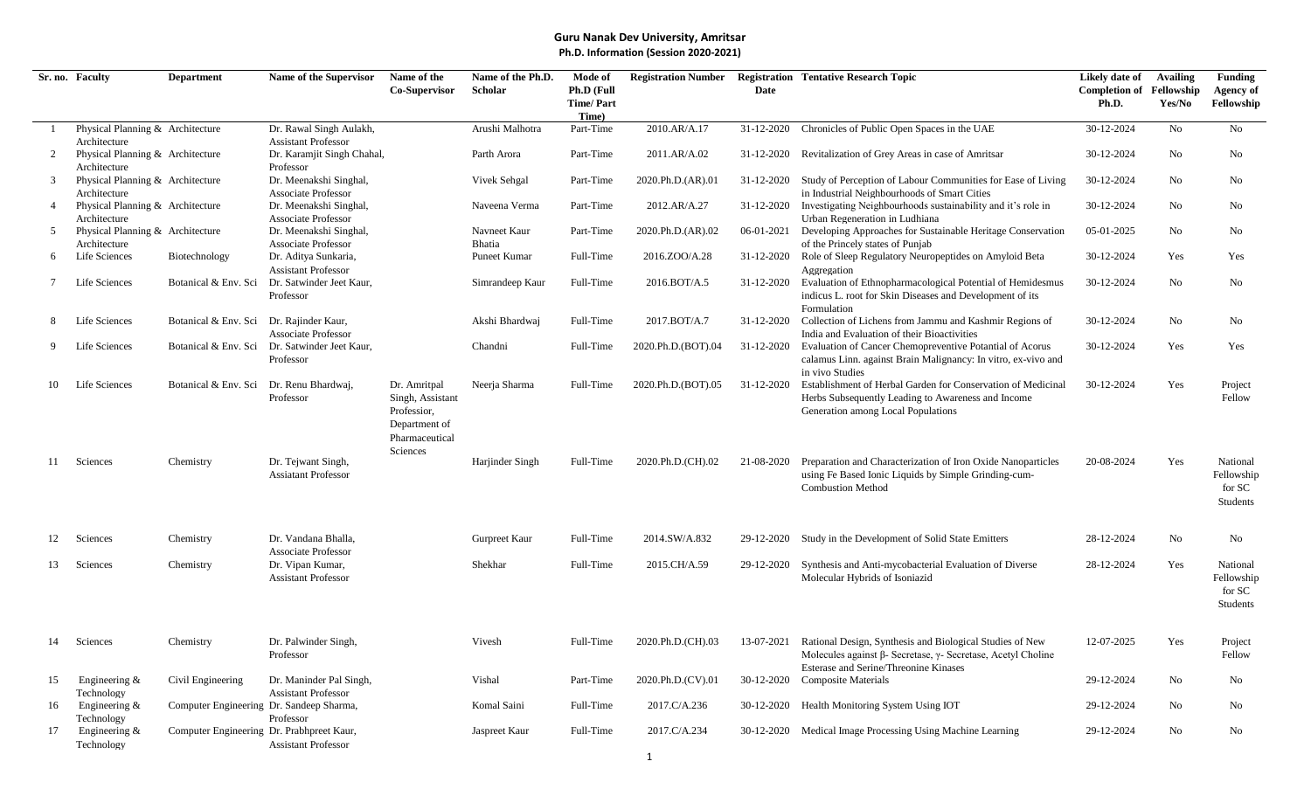|    | Sr. no. Faculty                                  | <b>Department</b>                         | Name of the Supervisor                               | Name of the                     | Name of the Ph.D. | Mode of                        | <b>Registration Number</b> |            | <b>Registration Tentative Research Topic</b>                                                   | Likely date of                           | <b>Availing</b> | <b>Funding</b>                 |
|----|--------------------------------------------------|-------------------------------------------|------------------------------------------------------|---------------------------------|-------------------|--------------------------------|----------------------------|------------|------------------------------------------------------------------------------------------------|------------------------------------------|-----------------|--------------------------------|
|    |                                                  |                                           |                                                      | Co-Supervisor                   | Scholar           | Ph.D (Full<br><b>Time/Part</b> |                            | Date       |                                                                                                | <b>Completion of Fellowship</b><br>Ph.D. | Yes/No          | <b>Agency of</b><br>Fellowship |
|    |                                                  |                                           |                                                      |                                 |                   | Time)                          |                            |            |                                                                                                |                                          |                 |                                |
|    | Physical Planning & Architecture                 |                                           | Dr. Rawal Singh Aulakh,                              |                                 | Arushi Malhotra   | Part-Time                      | 2010.AR/A.17               | 31-12-2020 | Chronicles of Public Open Spaces in the UAE                                                    | 30-12-2024                               | No              | N <sub>o</sub>                 |
|    | Architecture                                     |                                           | <b>Assistant Professor</b>                           |                                 |                   |                                |                            |            |                                                                                                |                                          |                 |                                |
| 2  | Physical Planning & Architecture                 |                                           | Dr. Karamjit Singh Chahal,                           |                                 | Parth Arora       | Part-Time                      | 2011.AR/A.02               | 31-12-2020 | Revitalization of Grey Areas in case of Amritsar                                               | 30-12-2024                               | No              | No                             |
|    | Architecture                                     |                                           | Professor                                            |                                 |                   |                                |                            |            |                                                                                                |                                          |                 |                                |
| 3  | Physical Planning & Architecture                 |                                           | Dr. Meenakshi Singhal,                               |                                 | Vivek Sehgal      | Part-Time                      | 2020.Ph.D.(AR).01          | 31-12-2020 | Study of Perception of Labour Communities for Ease of Living                                   | 30-12-2024                               | No              | No                             |
|    | Architecture                                     |                                           | <b>Associate Professor</b>                           |                                 |                   |                                |                            |            | in Industrial Neighbourhoods of Smart Cities                                                   |                                          |                 |                                |
| 4  | Physical Planning & Architecture<br>Architecture |                                           | Dr. Meenakshi Singhal,<br><b>Associate Professor</b> |                                 | Naveena Verma     | Part-Time                      | 2012.AR/A.27               | 31-12-2020 | Investigating Neighbourhoods sustainability and it's role in<br>Urban Regeneration in Ludhiana | 30-12-2024                               | No.             | No                             |
| 5  | Physical Planning & Architecture                 |                                           | Dr. Meenakshi Singhal,                               |                                 | Navneet Kaur      | Part-Time                      | 2020.Ph.D.(AR).02          | 06-01-2021 | Developing Approaches for Sustainable Heritage Conservation                                    | 05-01-2025                               | No              | No                             |
|    | Architecture                                     |                                           | <b>Associate Professor</b>                           |                                 | Bhatia            |                                |                            |            | of the Princely states of Punjab                                                               |                                          |                 |                                |
| 6  | Life Sciences                                    | Biotechnology                             | Dr. Aditya Sunkaria,                                 |                                 | Puneet Kumar      | Full-Time                      | 2016.ZOO/A.28              | 31-12-2020 | Role of Sleep Regulatory Neuropeptides on Amyloid Beta                                         | 30-12-2024                               | Yes             | Yes                            |
|    |                                                  |                                           | <b>Assistant Professor</b>                           |                                 |                   |                                |                            |            | Aggregation                                                                                    |                                          |                 |                                |
|    | Life Sciences                                    | Botanical & Env. Sci                      | Dr. Satwinder Jeet Kaur,                             |                                 | Simrandeep Kaur   | Full-Time                      | 2016.BOT/A.5               | 31-12-2020 | Evaluation of Ethnopharmacological Potential of Hemidesmus                                     | 30-12-2024                               | No              | No                             |
|    |                                                  |                                           | Professor                                            |                                 |                   |                                |                            |            | indicus L. root for Skin Diseases and Development of its                                       |                                          |                 |                                |
|    |                                                  |                                           |                                                      |                                 |                   |                                |                            |            | Formulation                                                                                    |                                          |                 |                                |
|    | Life Sciences                                    | Botanical & Env. Sci Dr. Rajinder Kaur,   |                                                      |                                 | Akshi Bhardwaj    | Full-Time                      | 2017.BOT/A.7               | 31-12-2020 | Collection of Lichens from Jammu and Kashmir Regions of                                        | 30-12-2024                               | No              | No                             |
|    |                                                  |                                           | <b>Associate Professor</b>                           |                                 |                   |                                |                            |            | India and Evaluation of their Bioactivities                                                    |                                          |                 |                                |
| 9  | Life Sciences                                    |                                           | Botanical & Env. Sci Dr. Satwinder Jeet Kaur,        |                                 | Chandni           | Full-Time                      | 2020.Ph.D.(BOT).04         | 31-12-2020 | Evaluation of Cancer Chemopreventive Potantial of Acorus                                       | 30-12-2024                               | Yes             | Yes                            |
|    |                                                  |                                           | Professor                                            |                                 |                   |                                |                            |            | calamus Linn. against Brain Malignancy: In vitro, ex-vivo and                                  |                                          |                 |                                |
|    |                                                  |                                           |                                                      |                                 |                   |                                |                            |            | in vivo Studies                                                                                |                                          |                 |                                |
| 10 | Life Sciences                                    | Botanical & Env. Sci                      | Dr. Renu Bhardwaj,                                   | Dr. Amritpal                    | Neerja Sharma     | Full-Time                      | 2020.Ph.D.(BOT).05         | 31-12-2020 | Establishment of Herbal Garden for Conservation of Medicinal                                   | 30-12-2024                               | Yes             | Project                        |
|    |                                                  |                                           | Professor                                            | Singh, Assistant                |                   |                                |                            |            | Herbs Subsequently Leading to Awareness and Income                                             |                                          |                 | Fellow                         |
|    |                                                  |                                           |                                                      | Professior,                     |                   |                                |                            |            | Generation among Local Populations                                                             |                                          |                 |                                |
|    |                                                  |                                           |                                                      | Department of<br>Pharmaceutical |                   |                                |                            |            |                                                                                                |                                          |                 |                                |
|    |                                                  |                                           |                                                      | Sciences                        |                   |                                |                            |            |                                                                                                |                                          |                 |                                |
| 11 | Sciences                                         | Chemistry                                 | Dr. Tejwant Singh,                                   |                                 | Harjinder Singh   | Full-Time                      | 2020.Ph.D.(CH).02          | 21-08-2020 | Preparation and Characterization of Iron Oxide Nanoparticles                                   | 20-08-2024                               | Yes             | National                       |
|    |                                                  |                                           | <b>Assiatant Professor</b>                           |                                 |                   |                                |                            |            | using Fe Based Ionic Liquids by Simple Grinding-cum-                                           |                                          |                 | Fellowship                     |
|    |                                                  |                                           |                                                      |                                 |                   |                                |                            |            | <b>Combustion Method</b>                                                                       |                                          |                 | for SC                         |
|    |                                                  |                                           |                                                      |                                 |                   |                                |                            |            |                                                                                                |                                          |                 | Students                       |
|    |                                                  |                                           |                                                      |                                 |                   |                                |                            |            |                                                                                                |                                          |                 |                                |
|    |                                                  |                                           |                                                      |                                 |                   |                                |                            |            |                                                                                                |                                          |                 |                                |
| 12 | Sciences                                         | Chemistry                                 | Dr. Vandana Bhalla,                                  |                                 | Gurpreet Kaur     | Full-Time                      | 2014.SW/A.832              | 29-12-2020 | Study in the Development of Solid State Emitters                                               | 28-12-2024                               | No              | No                             |
| 13 | Sciences                                         | Chemistry                                 | <b>Associate Professor</b><br>Dr. Vipan Kumar,       |                                 | Shekhar           | Full-Time                      | 2015.CH/A.59               | 29-12-2020 | Synthesis and Anti-mycobacterial Evaluation of Diverse                                         | 28-12-2024                               | Yes             | National                       |
|    |                                                  |                                           | <b>Assistant Professor</b>                           |                                 |                   |                                |                            |            | Molecular Hybrids of Isoniazid                                                                 |                                          |                 | Fellowship                     |
|    |                                                  |                                           |                                                      |                                 |                   |                                |                            |            |                                                                                                |                                          |                 | for SC                         |
|    |                                                  |                                           |                                                      |                                 |                   |                                |                            |            |                                                                                                |                                          |                 | Students                       |
|    |                                                  |                                           |                                                      |                                 |                   |                                |                            |            |                                                                                                |                                          |                 |                                |
|    |                                                  |                                           |                                                      |                                 |                   |                                |                            |            |                                                                                                |                                          |                 |                                |
| 14 | Sciences                                         | Chemistry                                 | Dr. Palwinder Singh,                                 |                                 | Vivesh            | Full-Time                      | 2020.Ph.D.(CH).03          | 13-07-2021 | Rational Design, Synthesis and Biological Studies of New                                       | 12-07-2025                               | Yes             | Project                        |
|    |                                                  |                                           | Professor                                            |                                 |                   |                                |                            |            | Molecules against $\beta$ - Secretase, $\gamma$ - Secretase, Acetyl Choline                    |                                          |                 | Fellow                         |
|    |                                                  |                                           |                                                      |                                 |                   |                                |                            |            | Esterase and Serine/Threonine Kinases                                                          |                                          |                 |                                |
| 15 | Engineering $&$                                  | Civil Engineering                         | Dr. Maninder Pal Singh,                              |                                 | Vishal            | Part-Time                      | 2020.Ph.D.(CV).01          | 30-12-2020 | <b>Composite Materials</b>                                                                     | 29-12-2024                               | $\rm No$        | No                             |
|    | Technology                                       |                                           | <b>Assistant Professor</b>                           |                                 |                   |                                |                            |            |                                                                                                |                                          |                 |                                |
| 16 | Engineering &                                    | Computer Engineering Dr. Sandeep Sharma,  |                                                      |                                 | Komal Saini       | Full-Time                      | 2017.C/A.236               | 30-12-2020 | Health Monitoring System Using IOT                                                             | 29-12-2024                               | No              | No                             |
| 17 | Technology<br>Engineering &                      | Computer Engineering Dr. Prabhpreet Kaur, | Professor                                            |                                 | Jaspreet Kaur     | Full-Time                      | 2017.C/A.234               | 30-12-2020 | Medical Image Processing Using Machine Learning                                                | 29-12-2024                               | No              | No                             |
|    | Technology                                       |                                           | <b>Assistant Professor</b>                           |                                 |                   |                                |                            |            |                                                                                                |                                          |                 |                                |
|    |                                                  |                                           |                                                      |                                 |                   |                                |                            |            |                                                                                                |                                          |                 |                                |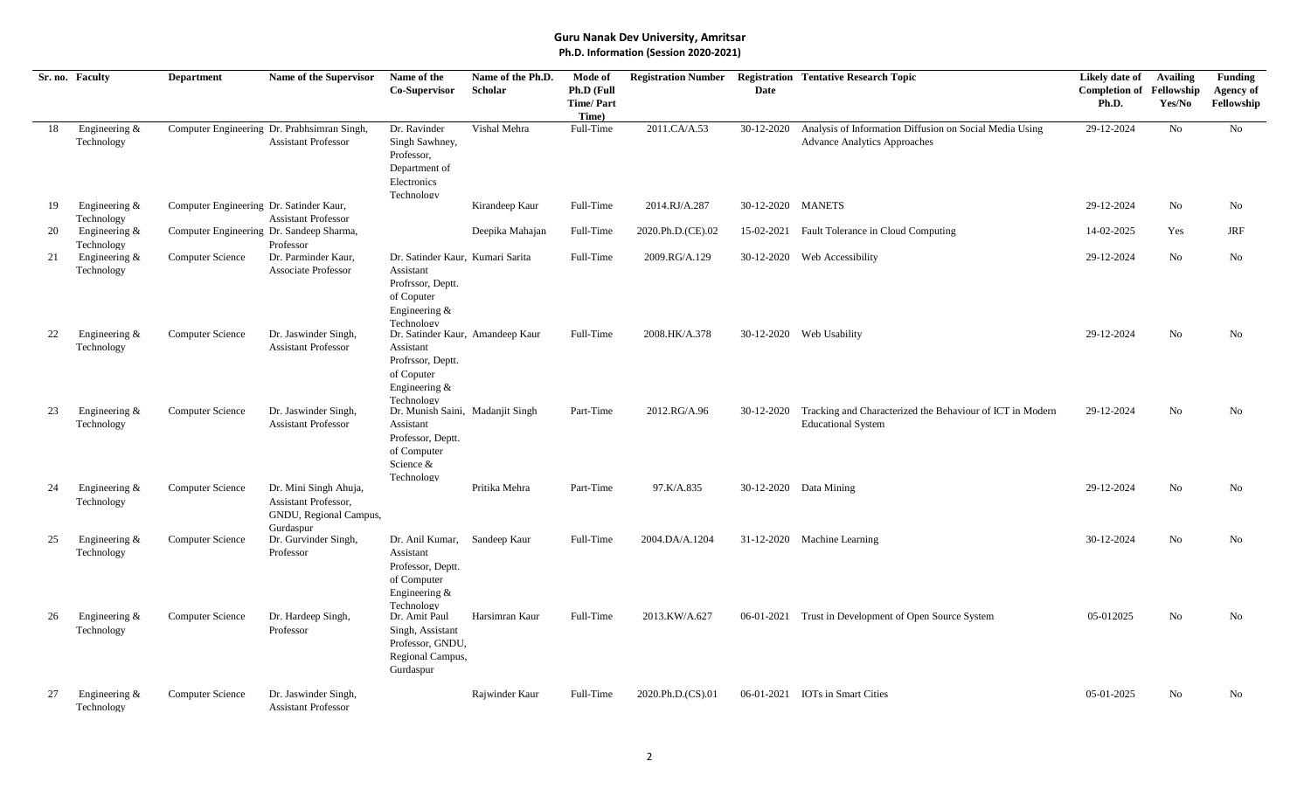|    | Sr. no. Faculty                | <b>Department</b>                        | Name of the Supervisor                                                               | Name of the<br>Co-Supervisor                                                                                      | Name of the Ph.D.<br>Scholar | Mode of<br>Ph.D (Full<br><b>Time/Part</b><br>Time) | <b>Registration Number</b> | Date              | <b>Registration Tentative Research Topic</b>                                                   | Likely date of<br><b>Completion of Fellowship</b><br>Ph.D. | <b>Availing</b><br>Yes/No | <b>Funding</b><br><b>Agency of</b><br>Fellowship |
|----|--------------------------------|------------------------------------------|--------------------------------------------------------------------------------------|-------------------------------------------------------------------------------------------------------------------|------------------------------|----------------------------------------------------|----------------------------|-------------------|------------------------------------------------------------------------------------------------|------------------------------------------------------------|---------------------------|--------------------------------------------------|
| 18 | Engineering &<br>Technology    |                                          | Computer Engineering Dr. Prabhsimran Singh,<br><b>Assistant Professor</b>            | Dr. Ravinder<br>Singh Sawhney,<br>Professor,<br>Department of<br>Electronics<br>Technology                        | Vishal Mehra                 | Full-Time                                          | 2011.CA/A.53               | 30-12-2020        | Analysis of Information Diffusion on Social Media Using<br><b>Advance Analytics Approaches</b> | 29-12-2024                                                 | No                        | No                                               |
| 19 | Engineering $&$<br>Technology  | Computer Engineering Dr. Satinder Kaur,  | <b>Assistant Professor</b>                                                           |                                                                                                                   | Kirandeep Kaur               | Full-Time                                          | 2014.RJ/A.287              | 30-12-2020 MANETS |                                                                                                | 29-12-2024                                                 | No                        | No                                               |
| 20 | Engineering $&$<br>Technology  | Computer Engineering Dr. Sandeep Sharma, | Professor                                                                            |                                                                                                                   | Deepika Mahajan              | Full-Time                                          | 2020.Ph.D.(CE).02          | 15-02-2021        | Fault Tolerance in Cloud Computing                                                             | 14-02-2025                                                 | Yes                       | JRF                                              |
| 21 | Engineering &<br>Technology    | Computer Science                         | Dr. Parminder Kaur,<br><b>Associate Professor</b>                                    | Dr. Satinder Kaur, Kumari Sarita<br>Assistant<br>Profrssor, Deptt.<br>of Coputer<br>Engineering $&$<br>Technology |                              | Full-Time                                          | 2009.RG/A.129              | 30-12-2020        | Web Accessibility                                                                              | 29-12-2024                                                 | No                        | No                                               |
| 22 | Engineering &<br>Technology    | <b>Computer Science</b>                  | Dr. Jaswinder Singh,<br><b>Assistant Professor</b>                                   | Dr. Satinder Kaur, Amandeep Kaur<br>Assistant<br>Profrssor, Deptt.<br>of Coputer<br>Engineering &<br>Technology   |                              | Full-Time                                          | 2008.HK/A.378              |                   | 30-12-2020 Web Usability                                                                       | 29-12-2024                                                 | No                        | No                                               |
| 23 | Engineering &<br>Technology    | <b>Computer Science</b>                  | Dr. Jaswinder Singh,<br><b>Assistant Professor</b>                                   | Dr. Munish Saini, Madanjit Singh<br>Assistant<br>Professor, Deptt.<br>of Computer<br>Science &<br>Technology      |                              | Part-Time                                          | 2012.RG/A.96               | 30-12-2020        | Tracking and Characterized the Behaviour of ICT in Modern<br><b>Educational System</b>         | 29-12-2024                                                 | N <sub>o</sub>            | No                                               |
| 24 | Engineering $&$<br>Technology  | <b>Computer Science</b>                  | Dr. Mini Singh Ahuja,<br>Assistant Professor,<br>GNDU, Regional Campus,<br>Gurdaspur |                                                                                                                   | Pritika Mehra                | Part-Time                                          | 97.K/A.835                 |                   | 30-12-2020 Data Mining                                                                         | 29-12-2024                                                 | No                        | No                                               |
| 25 | Engineering $&$<br>Technology  | Computer Science                         | Dr. Gurvinder Singh,<br>Professor                                                    | Dr. Anil Kumar,<br>Assistant<br>Professor, Deptt.<br>of Computer<br>Engineering $&$<br>Technology                 | Sandeep Kaur                 | Full-Time                                          | 2004.DA/A.1204             |                   | 31-12-2020 Machine Learning                                                                    | 30-12-2024                                                 | N <sub>o</sub>            | No                                               |
| 26 | Engineering &<br>Technology    | <b>Computer Science</b>                  | Dr. Hardeep Singh,<br>Professor                                                      | Dr. Amit Paul<br>Singh, Assistant<br>Professor, GNDU,<br>Regional Campus,<br>Gurdaspur                            | Harsimran Kaur               | Full-Time                                          | 2013.KW/A.627              | 06-01-2021        | Trust in Development of Open Source System                                                     | 05-012025                                                  | No                        | No                                               |
| 27 | Engineering $\&$<br>Technology | <b>Computer Science</b>                  | Dr. Jaswinder Singh,<br><b>Assistant Professor</b>                                   |                                                                                                                   | Rajwinder Kaur               | Full-Time                                          | 2020.Ph.D.(CS).01          |                   | 06-01-2021 IOTs in Smart Cities                                                                | 05-01-2025                                                 | No                        | No                                               |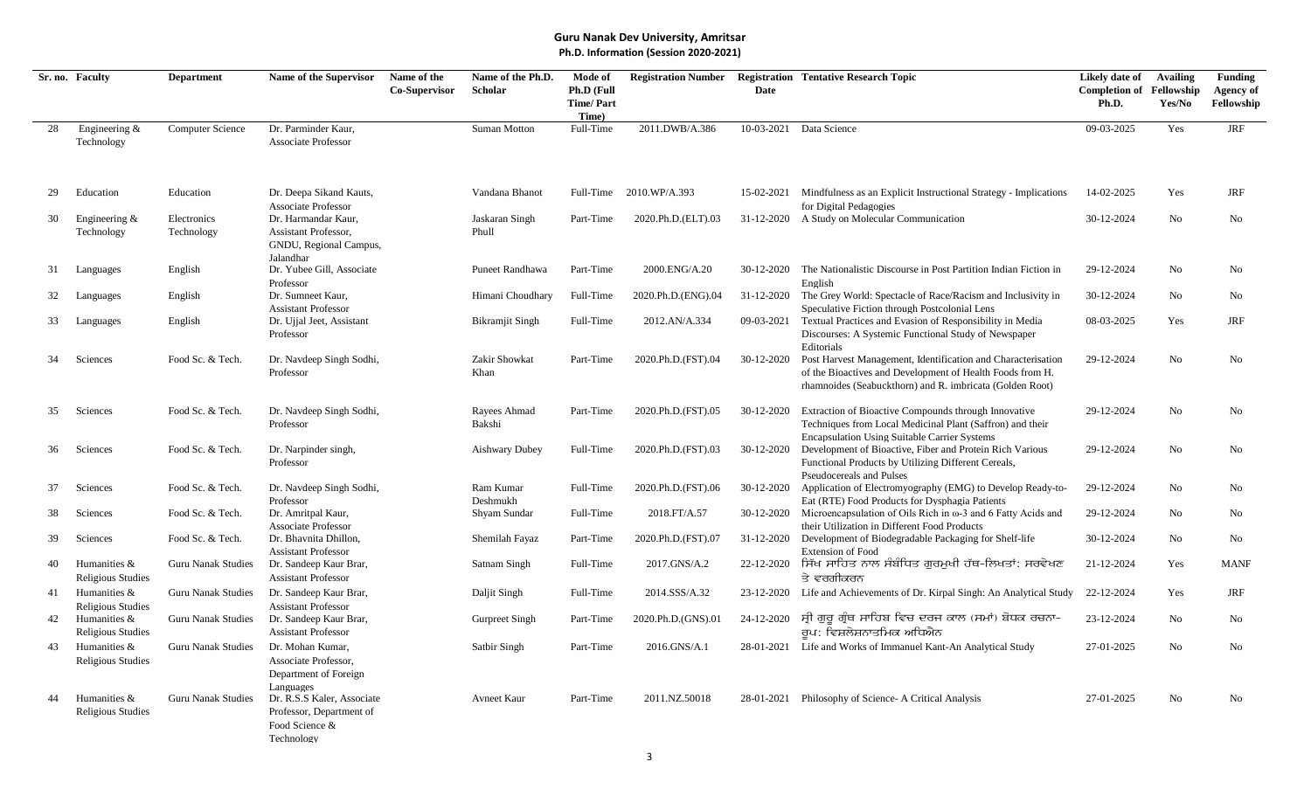|    | Sr. no. Faculty                          | <b>Department</b>         | Name of the Supervisor                                                                    | Name of the   | Name of the Ph.D.       | Mode of                                 | <b>Registration Number</b> |            | <b>Registration Tentative Research Topic</b>                                                                                                                                          | Likely date of                           | <b>Availing</b> | <b>Funding</b>          |
|----|------------------------------------------|---------------------------|-------------------------------------------------------------------------------------------|---------------|-------------------------|-----------------------------------------|----------------------------|------------|---------------------------------------------------------------------------------------------------------------------------------------------------------------------------------------|------------------------------------------|-----------------|-------------------------|
|    |                                          |                           |                                                                                           | Co-Supervisor | <b>Scholar</b>          | Ph.D (Full<br><b>Time/Part</b><br>Time) |                            | Date       |                                                                                                                                                                                       | <b>Completion of Fellowship</b><br>Ph.D. | Yes/No          | Agency of<br>Fellowship |
| 28 | Engineering &<br>Technology              | Computer Science          | Dr. Parminder Kaur,<br><b>Associate Professor</b>                                         |               | <b>Suman Motton</b>     | Full-Time                               | 2011.DWB/A.386             | 10-03-2021 | Data Science                                                                                                                                                                          | 09-03-2025                               | Yes             | <b>JRF</b>              |
| 29 | Education                                | Education                 | Dr. Deepa Sikand Kauts,<br><b>Associate Professor</b>                                     |               | Vandana Bhanot          | Full-Time                               | 2010.WP/A.393              | 15-02-2021 | Mindfulness as an Explicit Instructional Strategy - Implications<br>for Digital Pedagogies                                                                                            | 14-02-2025                               | Yes             | <b>JRF</b>              |
| 30 | Engineering $&$<br>Technology            | Electronics<br>Technology | Dr. Harmandar Kaur,<br><b>Assistant Professor,</b><br>GNDU, Regional Campus,<br>Jalandhar |               | Jaskaran Singh<br>Phull | Part-Time                               | 2020.Ph.D.(ELT).03         | 31-12-2020 | A Study on Molecular Communication                                                                                                                                                    | 30-12-2024                               | No              | No                      |
| 31 | Languages                                | English                   | Dr. Yubee Gill, Associate<br>Professor                                                    |               | Puneet Randhawa         | Part-Time                               | 2000.ENG/A.20              | 30-12-2020 | The Nationalistic Discourse in Post Partition Indian Fiction in<br>English                                                                                                            | 29-12-2024                               | No              | No                      |
| 32 | Languages                                | English                   | Dr. Sumneet Kaur,<br><b>Assistant Professor</b>                                           |               | Himani Choudhary        | Full-Time                               | 2020.Ph.D.(ENG).04         | 31-12-2020 | The Grey World: Spectacle of Race/Racism and Inclusivity in<br>Speculative Fiction through Postcolonial Lens                                                                          | 30-12-2024                               | No              | No                      |
| 33 | Languages                                | English                   | Dr. Ujjal Jeet, Assistant<br>Professor                                                    |               | <b>Bikramjit Singh</b>  | Full-Time                               | 2012.AN/A.334              | 09-03-2021 | Textual Practices and Evasion of Responsibility in Media<br>Discourses: A Systemic Functional Study of Newspaper<br>Editorials                                                        | 08-03-2025                               | Yes             | <b>JRF</b>              |
| 34 | Sciences                                 | Food Sc. & Tech.          | Dr. Navdeep Singh Sodhi,<br>Professor                                                     |               | Zakir Showkat<br>Khan   | Part-Time                               | 2020.Ph.D.(FST).04         | 30-12-2020 | Post Harvest Management, Identification and Characterisation<br>of the Bioactives and Development of Health Foods from H.<br>rhamnoides (Seabuckthorn) and R. imbricata (Golden Root) | 29-12-2024                               | No              | No                      |
| 35 | Sciences                                 | Food Sc. & Tech.          | Dr. Navdeep Singh Sodhi,<br>Professor                                                     |               | Rayees Ahmad<br>Bakshi  | Part-Time                               | 2020.Ph.D.(FST).05         | 30-12-2020 | Extraction of Bioactive Compounds through Innovative<br>Techniques from Local Medicinal Plant (Saffron) and their<br><b>Encapsulation Using Suitable Carrier Systems</b>              | 29-12-2024                               | N <sub>o</sub>  | No                      |
| 36 | Sciences                                 | Food Sc. & Tech.          | Dr. Narpinder singh,<br>Professor                                                         |               | <b>Aishwary Dubey</b>   | Full-Time                               | 2020.Ph.D.(FST).03         | 30-12-2020 | Development of Bioactive, Fiber and Protein Rich Various<br>Functional Products by Utilizing Different Cereals,<br>Pseudocereals and Pulses                                           | 29-12-2024                               | No              | No                      |
| 37 | Sciences                                 | Food Sc. & Tech.          | Dr. Navdeep Singh Sodhi,<br>Professor                                                     |               | Ram Kumar<br>Deshmukh   | Full-Time                               | 2020.Ph.D.(FST).06         | 30-12-2020 | Application of Electromyography (EMG) to Develop Ready-to-<br>Eat (RTE) Food Products for Dysphagia Patients                                                                          | 29-12-2024                               | No              | No                      |
| 38 | Sciences                                 | Food Sc. & Tech.          | Dr. Amritpal Kaur,<br><b>Associate Professor</b>                                          |               | Shyam Sundar            | Full-Time                               | 2018.FT/A.57               | 30-12-2020 | Microencapsulation of Oils Rich in $\omega$ -3 and 6 Fatty Acids and<br>their Utilization in Different Food Products                                                                  | 29-12-2024                               | No              | No                      |
| 39 | Sciences                                 | Food Sc. & Tech.          | Dr. Bhavnita Dhillon,<br><b>Assistant Professor</b>                                       |               | Shemilah Fayaz          | Part-Time                               | 2020.Ph.D.(FST).07         | 31-12-2020 | Development of Biodegradable Packaging for Shelf-life<br><b>Extension of Food</b>                                                                                                     | 30-12-2024                               | No              | No                      |
| 40 | Humanities &<br><b>Religious Studies</b> | <b>Guru Nanak Studies</b> | Dr. Sandeep Kaur Brar,<br><b>Assistant Professor</b>                                      |               | Satnam Singh            | Full-Time                               | 2017.GNS/A.2               | 22-12-2020 | ਸਿੱਖ ਸਾਹਿਤ ਨਾਲ ਸੰਬੰਧਿਤ ਗਰਮਖੀ ਹੱਥ-ਲਿਖਤਾਂ: ਸਰਵੇਖਣ<br>ਤੇ ਵਰਗੀਕਰਨ                                                                                                                         | 21-12-2024                               | Yes             | <b>MANF</b>             |
| 41 | Humanities &<br><b>Religious Studies</b> | <b>Guru Nanak Studies</b> | Dr. Sandeep Kaur Brar,<br><b>Assistant Professor</b>                                      |               | Daljit Singh            | Full-Time                               | 2014.SSS/A.32              | 23-12-2020 | Life and Achievements of Dr. Kirpal Singh: An Analytical Study                                                                                                                        | 22-12-2024                               | Yes             | <b>JRF</b>              |
| 42 | Humanities &<br><b>Religious Studies</b> | <b>Guru Nanak Studies</b> | Dr. Sandeep Kaur Brar,<br><b>Assistant Professor</b>                                      |               | Gurpreet Singh          | Part-Time                               | 2020.Ph.D.(GNS).01         | 24-12-2020 | ਸ੍ਰੀ ਗੁਰੂ ਗ੍ਰੰਥ ਸਾਹਿਬ ਵਿਚ ਦਰਜ ਕਾਲ (ਸਮਾਂ) ਬੋਧਕ ਰਚਨਾ-<br>ਰੁਪ: ਵਿਸ਼ਲੇਸ਼ਨਾਤਮਿਕ ਅਧਿਐਨ                                                                                                      | 23-12-2024                               | N <sub>o</sub>  | No                      |
| 43 | Humanities &<br><b>Religious Studies</b> | <b>Guru Nanak Studies</b> | Dr. Mohan Kumar,<br>Associate Professor,<br>Department of Foreign<br>Languages            |               | Satbir Singh            | Part-Time                               | 2016.GNS/A.1               | 28-01-2021 | Life and Works of Immanuel Kant-An Analytical Study                                                                                                                                   | 27-01-2025                               | No              | No                      |
| 44 | Humanities &<br><b>Religious Studies</b> | <b>Guru Nanak Studies</b> | Dr. R.S.S Kaler, Associate<br>Professor, Department of<br>Food Science &<br>Technology    |               | Avneet Kaur             | Part-Time                               | 2011.NZ.50018              | 28-01-2021 | Philosophy of Science- A Critical Analysis                                                                                                                                            | 27-01-2025                               | No              | No                      |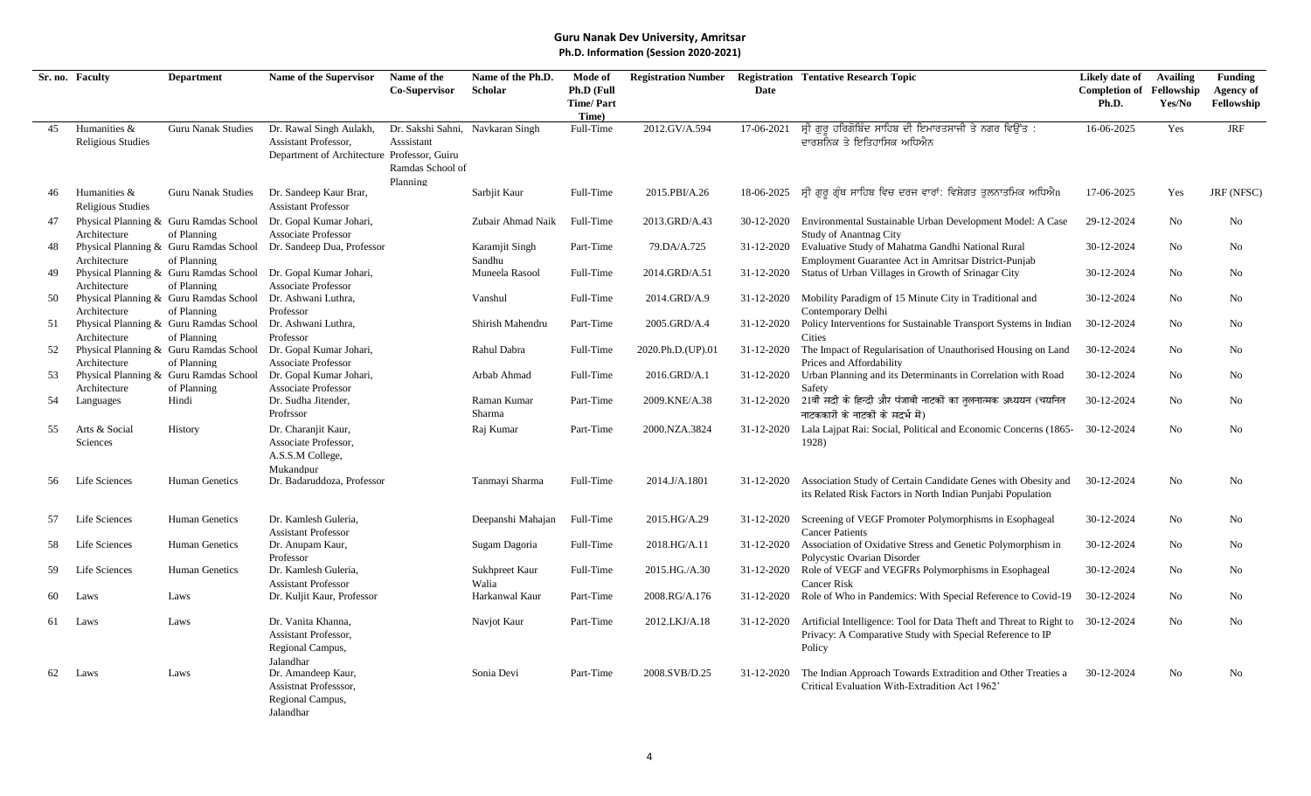|    | Sr. no. Faculty                          | <b>Department</b>                                                                        | Name of the Supervisor                                                                          | Name of the                                                        | Name of the Ph.D.        | Mode of                   | <b>Registration Number</b> |             | <b>Registration Tentative Research Topic</b>                                                                                               | Likely date of                  | <b>Availing</b> | <b>Funding</b>   |
|----|------------------------------------------|------------------------------------------------------------------------------------------|-------------------------------------------------------------------------------------------------|--------------------------------------------------------------------|--------------------------|---------------------------|----------------------------|-------------|--------------------------------------------------------------------------------------------------------------------------------------------|---------------------------------|-----------------|------------------|
|    |                                          |                                                                                          |                                                                                                 | Co-Supervisor                                                      | Scholar                  | Ph.D (Full                |                            | <b>Date</b> |                                                                                                                                            | <b>Completion of Fellowship</b> |                 | <b>Agency of</b> |
|    |                                          |                                                                                          |                                                                                                 |                                                                    |                          | <b>Time/Part</b><br>Time) |                            |             |                                                                                                                                            | Ph.D.                           | Yes/No          | Fellowship       |
| 45 | Humanities &<br><b>Religious Studies</b> | <b>Guru Nanak Studies</b>                                                                | Dr. Rawal Singh Aulakh,<br>Assistant Professor,<br>Department of Architecture Professor, Guiru  | Dr. Sakshi Sahni, Navkaran Singh<br>Asssistant<br>Ramdas School of |                          | Full-Time                 | 2012.GV/A.594              | 17-06-2021  | ਸ੍ਰੀ ਗੁਰੂ ਹਰਿਗੋਬਿੰਦ ਸਾਹਿਬ ਦੀ ਇਮਾਰਤਸਾਜੀ ਤੇ ਨਗਰ ਵਿਉਂਤ :<br>ਦਾਰਸ਼ਨਿਕ ਤੇ ਇਤਿਹਾਸਿਕ ਅਧਿਐਨ                                                        | 16-06-2025                      | Yes             | <b>JRF</b>       |
| 46 | Humanities &<br><b>Religious Studies</b> | <b>Guru Nanak Studies</b>                                                                | Dr. Sandeep Kaur Brar,<br><b>Assistant Professor</b>                                            | Planning                                                           | Sarbjit Kaur             | Full-Time                 | 2015.PBI/A.26              | 18-06-2025  | ਸ੍ਰੀ ਗੁਰੂ ਗ੍ਰੰਥ ਸਾਹਿਬ ਵਿਚ ਦਰਜ ਵਾਰਾਂ: ਵਿਸ਼ੇਗਤ ਤੁਲਨਾਤਮਿਕ ਅਧਿਐn                                                                               | 17-06-2025                      | Yes             | JRF (NFSC)       |
| 47 |                                          | Physical Planning & Guru Ramdas School                                                   | Dr. Gopal Kumar Johari,                                                                         |                                                                    | Zubair Ahmad Naik        | Full-Time                 | 2013.GRD/A.43              | 30-12-2020  | Environmental Sustainable Urban Development Model: A Case                                                                                  | 29-12-2024                      | No              | No               |
| 48 | Architecture<br>Architecture             | of Planning<br>of Planning                                                               | <b>Associate Professor</b><br>Physical Planning & Guru Ramdas School Dr. Sandeep Dua, Professor |                                                                    | Karamjit Singh<br>Sandhu | Part-Time                 | 79.DA/A.725                | 31-12-2020  | <b>Study of Anantnag City</b><br>Evaluative Study of Mahatma Gandhi National Rural<br>Employment Guarantee Act in Amritsar District-Punjab | 30-12-2024                      | No              | No               |
| 49 |                                          |                                                                                          | Physical Planning & Guru Ramdas School Dr. Gopal Kumar Johari,                                  |                                                                    | Muneela Rasool           | Full-Time                 | 2014.GRD/A.51              | 31-12-2020  | Status of Urban Villages in Growth of Srinagar City                                                                                        | 30-12-2024                      | No              | No               |
| 50 | Architecture                             | of Planning<br>Physical Planning & Guru Ramdas School Dr. Ashwani Luthra,                | <b>Associate Professor</b>                                                                      |                                                                    | Vanshul                  | Full-Time                 | 2014.GRD/A.9               | 31-12-2020  | Mobility Paradigm of 15 Minute City in Traditional and                                                                                     | 30-12-2024                      | No              | No               |
| 51 | Architecture<br>Architecture             | of Planning<br>Physical Planning & Guru Ramdas School Dr. Ashwani Luthra,<br>of Planning | Professor<br>Professor                                                                          |                                                                    | Shirish Mahendru         | Part-Time                 | 2005.GRD/A.4               | 31-12-2020  | Contemporary Delhi<br>Policy Interventions for Sustainable Transport Systems in Indian<br>Cities                                           | 30-12-2024                      | No              | No               |
| 52 | Architecture                             | of Planning                                                                              | Physical Planning & Guru Ramdas School Dr. Gopal Kumar Johari,<br><b>Associate Professor</b>    |                                                                    | Rahul Dabra              | Full-Time                 | 2020.Ph.D.(UP).01          | 31-12-2020  | The Impact of Regularisation of Unauthorised Housing on Land<br>Prices and Affordability                                                   | 30-12-2024                      | No              | No               |
| 53 | Architecture                             | Physical Planning & Guru Ramdas School<br>of Planning                                    | Dr. Gopal Kumar Johari,<br><b>Associate Professor</b>                                           |                                                                    | Arbab Ahmad              | Full-Time                 | 2016.GRD/A.1               | 31-12-2020  | Urban Planning and its Determinants in Correlation with Road<br>Safety                                                                     | 30-12-2024                      | No              | No               |
| 54 | Languages                                | Hindi                                                                                    | Dr. Sudha Jitender,<br>Profrssor                                                                |                                                                    | Raman Kumar<br>Sharma    | Part-Time                 | 2009.KNE/A.38              | 31-12-2020  | 21वीं सदी के हिन्दी और पंजाबी नाटकों का तलनात्मक अध्ययन (चयनित<br>नाटककारों के नाटकों के सदर्भ में)                                        | 30-12-2024                      | No              | No               |
| 55 | Arts & Social<br>Sciences                | History                                                                                  | Dr. Charanjit Kaur,<br>Associate Professor,<br>A.S.S.M College,<br>Mukandpur                    |                                                                    | Raj Kumar                | Part-Time                 | 2000.NZA.3824              | 31-12-2020  | Lala Lajpat Rai: Social, Political and Economic Concerns (1865-<br>1928)                                                                   | 30-12-2024                      | No              | No               |
| 56 | Life Sciences                            | Human Genetics                                                                           | Dr. Badaruddoza, Professor                                                                      |                                                                    | Tanmayi Sharma           | Full-Time                 | 2014.J/A.1801              | 31-12-2020  | Association Study of Certain Candidate Genes with Obesity and<br>its Related Risk Factors in North Indian Punjabi Population               | 30-12-2024                      | No              | No               |
| 57 | Life Sciences                            | Human Genetics                                                                           | Dr. Kamlesh Guleria,<br><b>Assistant Professor</b>                                              |                                                                    | Deepanshi Mahajan        | Full-Time                 | 2015.HG/A.29               | 31-12-2020  | Screening of VEGF Promoter Polymorphisms in Esophageal<br><b>Cancer Patients</b>                                                           | 30-12-2024                      | No              | No               |
| 58 | Life Sciences                            | Human Genetics                                                                           | Dr. Anupam Kaur,                                                                                |                                                                    | Sugam Dagoria            | Full-Time                 | 2018.HG/A.11               | 31-12-2020  | Association of Oxidative Stress and Genetic Polymorphism in                                                                                | 30-12-2024                      | No              | No               |
| 59 | Life Sciences                            | Human Genetics                                                                           | Professor<br>Dr. Kamlesh Guleria,<br><b>Assistant Professor</b>                                 |                                                                    | Sukhpreet Kaur<br>Walia  | Full-Time                 | 2015.HG./A.30              | 31-12-2020  | Polycystic Ovarian Disorder<br>Role of VEGF and VEGFRs Polymorphisms in Esophageal<br><b>Cancer Risk</b>                                   | 30-12-2024                      | No.             | No               |
| 60 | Laws                                     | Laws                                                                                     | Dr. Kuljit Kaur, Professor                                                                      |                                                                    | Harkanwal Kaur           | Part-Time                 | 2008.RG/A.176              | 31-12-2020  | Role of Who in Pandemics: With Special Reference to Covid-19                                                                               | 30-12-2024                      | No              | N <sub>o</sub>   |
| 61 | Laws                                     | Laws                                                                                     | Dr. Vanita Khanna,<br>Assistant Professor,<br>Regional Campus,                                  |                                                                    | Navjot Kaur              | Part-Time                 | 2012.LKJ/A.18              | 31-12-2020  | Artificial Intelligence: Tool for Data Theft and Threat to Right to<br>Privacy: A Comparative Study with Special Reference to IP<br>Policy | 30-12-2024                      | No              | No               |
| 62 | Laws                                     | Laws                                                                                     | Jalandhar<br>Dr. Amandeep Kaur,<br>Assistnat Professsor,<br>Regional Campus,<br>Jalandhar       |                                                                    | Sonia Devi               | Part-Time                 | 2008.SVB/D.25              | 31-12-2020  | The Indian Approach Towards Extradition and Other Treaties a<br>Critical Evaluation With-Extradition Act 1962'                             | 30-12-2024                      | N <sub>o</sub>  | No               |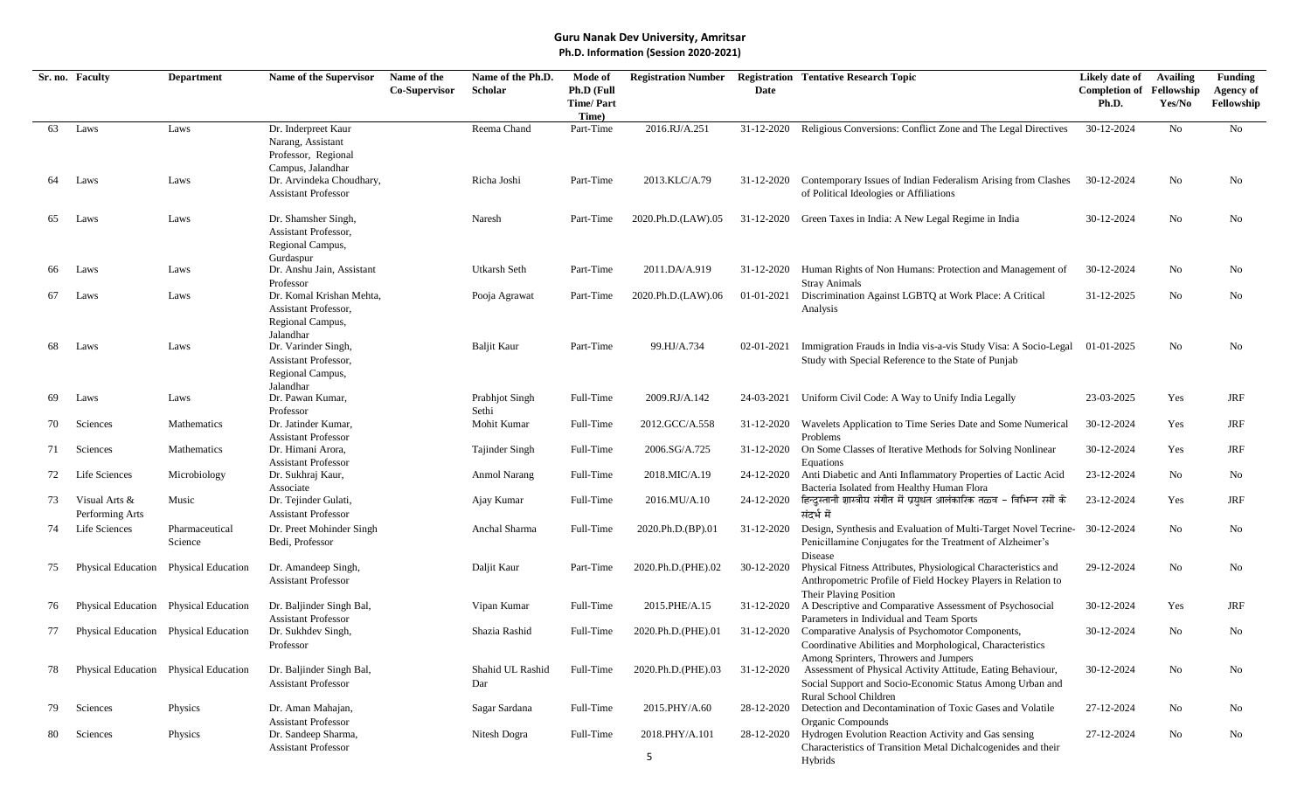|     | Sr. no. Faculty                       | <b>Department</b>                     | Name of the Supervisor                                                               | Name of the   | Name of the Ph.D.       | Mode of                                 | <b>Registration Number</b> |             | <b>Registration Tentative Research Topic</b>                                                                                                              | Likely date of                           | <b>Availing</b> | <b>Funding</b>                 |
|-----|---------------------------------------|---------------------------------------|--------------------------------------------------------------------------------------|---------------|-------------------------|-----------------------------------------|----------------------------|-------------|-----------------------------------------------------------------------------------------------------------------------------------------------------------|------------------------------------------|-----------------|--------------------------------|
|     |                                       |                                       |                                                                                      | Co-Supervisor | Scholar                 | Ph.D (Full<br><b>Time/Part</b><br>Time) |                            | <b>Date</b> |                                                                                                                                                           | <b>Completion of Fellowship</b><br>Ph.D. | Yes/No          | <b>Agency of</b><br>Fellowship |
| 63  | Laws                                  | Laws                                  | Dr. Inderpreet Kaur<br>Narang, Assistant<br>Professor, Regional<br>Campus, Jalandhar |               | Reema Chand             | Part-Time                               | 2016.RJ/A.251              | 31-12-2020  | Religious Conversions: Conflict Zone and The Legal Directives                                                                                             | 30-12-2024                               | No              | No                             |
| 64  | Laws                                  | Laws                                  | Dr. Arvindeka Choudhary,<br><b>Assistant Professor</b>                               |               | Richa Joshi             | Part-Time                               | 2013.KLC/A.79              | 31-12-2020  | Contemporary Issues of Indian Federalism Arising from Clashes<br>of Political Ideologies or Affiliations                                                  | 30-12-2024                               | No              | No                             |
| 65  | Laws                                  | Laws                                  | Dr. Shamsher Singh,<br>Assistant Professor,<br>Regional Campus,<br>Gurdaspur         |               | Naresh                  | Part-Time                               | 2020.Ph.D.(LAW).05         | 31-12-2020  | Green Taxes in India: A New Legal Regime in India                                                                                                         | 30-12-2024                               | No              | No                             |
| 66  | Laws                                  | Laws                                  | Dr. Anshu Jain, Assistant<br>Professor                                               |               | Utkarsh Seth            | Part-Time                               | 2011.DA/A.919              | 31-12-2020  | Human Rights of Non Humans: Protection and Management of<br><b>Stray Animals</b>                                                                          | 30-12-2024                               | No.             | No                             |
| 67  | Laws                                  | Laws                                  | Dr. Komal Krishan Mehta,<br>Assistant Professor,<br>Regional Campus,<br>Jalandhar    |               | Pooja Agrawat           | Part-Time                               | 2020.Ph.D.(LAW).06         | 01-01-2021  | Discrimination Against LGBTQ at Work Place: A Critical<br>Analysis                                                                                        | 31-12-2025                               | No              | No                             |
| 68  | Laws                                  | Laws                                  | Dr. Varinder Singh,<br>Assistant Professor,<br>Regional Campus,<br>Jalandhar         |               | <b>Baljit Kaur</b>      | Part-Time                               | 99.HJ/A.734                | 02-01-2021  | Immigration Frauds in India vis-a-vis Study Visa: A Socio-Legal<br>Study with Special Reference to the State of Punjab                                    | 01-01-2025                               | No              | No                             |
| 69  | Laws                                  | Laws                                  | Dr. Pawan Kumar,<br>Professor                                                        |               | Prabhjot Singh<br>Sethi | Full-Time                               | 2009.RJ/A.142              | 24-03-2021  | Uniform Civil Code: A Way to Unify India Legally                                                                                                          | 23-03-2025                               | Yes             | JRF                            |
| 70  | Sciences                              | Mathematics                           | Dr. Jatinder Kumar,<br><b>Assistant Professor</b>                                    |               | Mohit Kumar             | Full-Time                               | 2012.GCC/A.558             | 31-12-2020  | Wavelets Application to Time Series Date and Some Numerical<br>Problems                                                                                   | 30-12-2024                               | Yes             | JRF                            |
| 71  | Sciences                              | Mathematics                           | Dr. Himani Arora,<br><b>Assistant Professor</b>                                      |               | Tajinder Singh          | Full-Time                               | 2006.SG/A.725              | 31-12-2020  | On Some Classes of Iterative Methods for Solving Nonlinear<br>Equations                                                                                   | 30-12-2024                               | Yes             | JRF                            |
| 72  | Life Sciences                         | Microbiology                          | Dr. Sukhraj Kaur,<br>Associate                                                       |               | Anmol Narang            | Full-Time                               | 2018.MIC/A.19              | 24-12-2020  | Anti Diabetic and Anti Inflammatory Properties of Lactic Acid<br>Bacteria Isolated from Healthy Human Flora                                               | 23-12-2024                               | No              | No                             |
| 73  | Visual Arts &<br>Performing Arts      | Music                                 | Dr. Tejinder Gulati,<br><b>Assistant Professor</b>                                   |               | Ajay Kumar              | Full-Time                               | 2016.MU/A.10               | 24-12-2020  | हिन्दुस्तानी शास्त्रीय संगीत में प्रयुधत आलंकारिक तळव – विभिन्न रसों के<br>संदर्भ में                                                                     | 23-12-2024                               | Yes             | JRF                            |
| 74  | Life Sciences                         | Pharmaceutical<br>Science             | Dr. Preet Mohinder Singh<br>Bedi, Professor                                          |               | Anchal Sharma           | Full-Time                               | 2020.Ph.D.(BP).01          | 31-12-2020  | Design, Synthesis and Evaluation of Multi-Target Novel Tecrine-30-12-2024<br>Penicillamine Conjugates for the Treatment of Alzheimer's<br>Disease         |                                          | No              | No                             |
| 75  |                                       | Physical Education Physical Education | Dr. Amandeep Singh,<br><b>Assistant Professor</b>                                    |               | Daljit Kaur             | Part-Time                               | 2020.Ph.D.(PHE).02         | 30-12-2020  | Physical Fitness Attributes, Physiological Characteristics and<br>Anthropometric Profile of Field Hockey Players in Relation to<br>Their Plaving Position | 29-12-2024                               | No              | No                             |
| 76  |                                       | Physical Education Physical Education | Dr. Baljinder Singh Bal,<br><b>Assistant Professor</b>                               |               | Vipan Kumar             | Full-Time                               | 2015.PHE/A.15              | 31-12-2020  | A Descriptive and Comparative Assessment of Psychosocial<br>Parameters in Individual and Team Sports                                                      | 30-12-2024                               | Yes             | JRF                            |
|     |                                       | Physical Education Physical Education | Dr. Sukhdev Singh,<br>Professor                                                      |               | Shazia Rashid           | Full-Time                               | 2020.Ph.D.(PHE).01         | 31-12-2020  | Comparative Analysis of Psychomotor Components,<br>Coordinative Abilities and Morphological, Characteristics<br>Among Sprinters, Throwers and Jumpers     | 30-12-2024                               | No              | No                             |
| 78  | Physical Education Physical Education |                                       | Dr. Baljinder Singh Bal,<br><b>Assistant Professor</b>                               |               | Shahid UL Rashid<br>Dar | Full-Time                               | 2020.Ph.D.(PHE).03         | 31-12-2020  | Assessment of Physical Activity Attitude, Eating Behaviour,<br>Social Support and Socio-Economic Status Among Urban and<br>Rural School Children          | 30-12-2024                               | No              | No                             |
| 79. | Sciences                              | Physics                               | Dr. Aman Mahajan,<br><b>Assistant Professor</b>                                      |               | Sagar Sardana           | Full-Time                               | 2015.PHY/A.60              | 28-12-2020  | Detection and Decontamination of Toxic Gases and Volatile<br>Organic Compounds                                                                            | 27-12-2024                               | No              | No                             |
| 80. | Sciences                              | Physics                               | Dr. Sandeep Sharma,<br><b>Assistant Professor</b>                                    |               | Nitesh Dogra            | Full-Time                               | 2018.PHY/A.101<br>5        | 28-12-2020  | Hydrogen Evolution Reaction Activity and Gas sensing<br>Characteristics of Transition Metal Dichalcogenides and their<br>Hybrids                          | 27-12-2024                               | No              | No                             |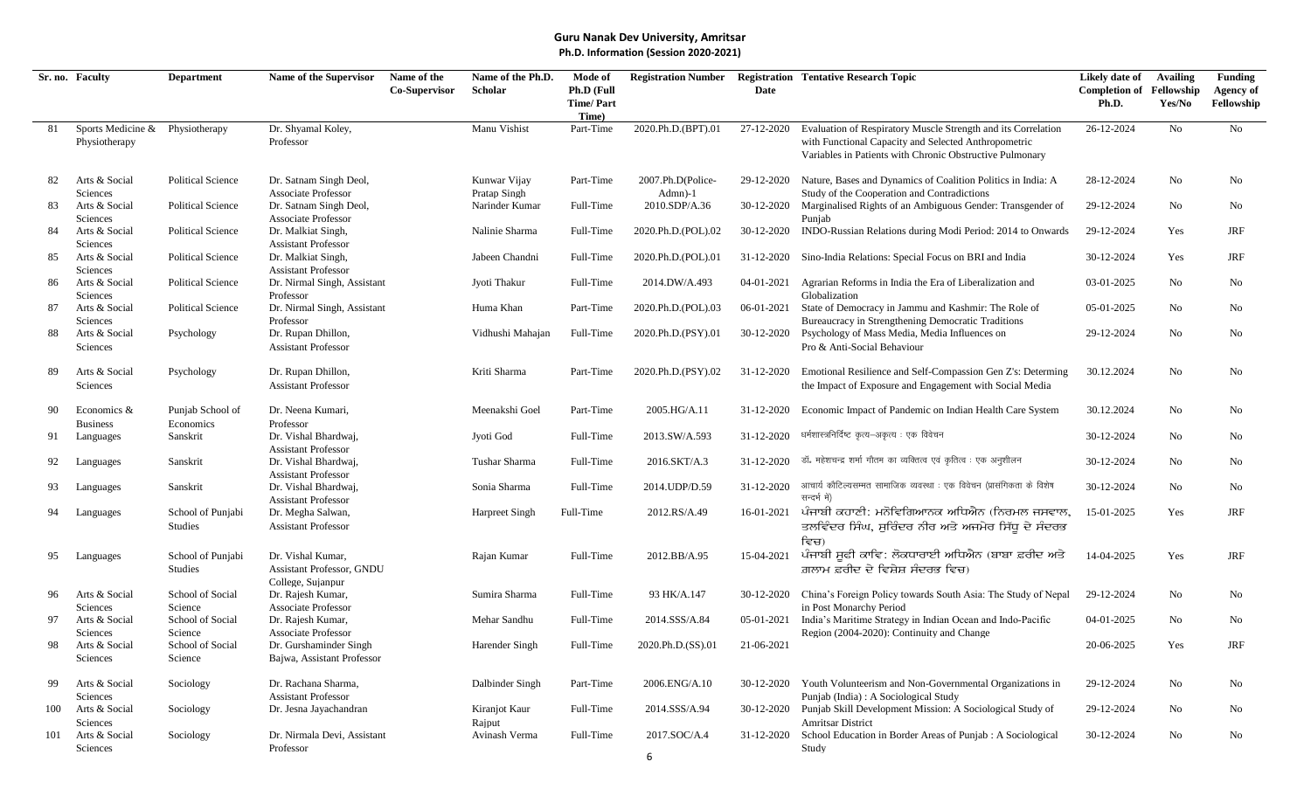|     | Sr. no. Faculty                                  | <b>Department</b>                   | Name of the Supervisor                                              | Name of the   | Name of the Ph.D.            | Mode of                                 | <b>Registration Number</b>   |            | <b>Registration Tentative Research Topic</b>                                                                                                                                      | Likely date of                           | Availing | <b>Funding</b>                 |
|-----|--------------------------------------------------|-------------------------------------|---------------------------------------------------------------------|---------------|------------------------------|-----------------------------------------|------------------------------|------------|-----------------------------------------------------------------------------------------------------------------------------------------------------------------------------------|------------------------------------------|----------|--------------------------------|
|     |                                                  |                                     |                                                                     | Co-Supervisor | Scholar                      | Ph.D (Full<br><b>Time/Part</b><br>Time) |                              | Date       |                                                                                                                                                                                   | <b>Completion of Fellowship</b><br>Ph.D. | Yes/No   | <b>Agency of</b><br>Fellowship |
| 81  | Sports Medicine & Physiotherapy<br>Physiotherapy |                                     | Dr. Shyamal Koley,<br>Professor                                     |               | Manu Vishist                 | Part-Time                               | 2020.Ph.D.(BPT).01           | 27-12-2020 | Evaluation of Respiratory Muscle Strength and its Correlation<br>with Functional Capacity and Selected Anthropometric<br>Variables in Patients with Chronic Obstructive Pulmonary | 26-12-2024                               | No       | No                             |
| 82  | Arts & Social<br>Sciences                        | <b>Political Science</b>            | Dr. Satnam Singh Deol,<br><b>Associate Professor</b>                |               | Kunwar Vijay<br>Pratap Singh | Part-Time                               | 2007.Ph.D(Police-<br>Admn)-1 | 29-12-2020 | Nature, Bases and Dynamics of Coalition Politics in India: A<br>Study of the Cooperation and Contradictions                                                                       | 28-12-2024                               | No       | No                             |
| 83  | Arts & Social<br>Sciences                        | <b>Political Science</b>            | Dr. Satnam Singh Deol,<br>Associate Professor                       |               | Narinder Kumar               | Full-Time                               | 2010.SDP/A.36                | 30-12-2020 | Marginalised Rights of an Ambiguous Gender: Transgender of<br>Punjab                                                                                                              | 29-12-2024                               | No       | No                             |
| 84  | Arts & Social<br>Sciences                        | <b>Political Science</b>            | Dr. Malkiat Singh,<br><b>Assistant Professor</b>                    |               | Nalinie Sharma               | Full-Time                               | 2020.Ph.D.(POL).02           | 30-12-2020 | INDO-Russian Relations during Modi Period: 2014 to Onwards                                                                                                                        | 29-12-2024                               | Yes      | JRF                            |
| 85  | Arts & Social<br>Sciences                        | <b>Political Science</b>            | Dr. Malkiat Singh,<br><b>Assistant Professor</b>                    |               | Jabeen Chandni               | Full-Time                               | 2020.Ph.D.(POL).01           | 31-12-2020 | Sino-India Relations: Special Focus on BRI and India                                                                                                                              | 30-12-2024                               | Yes      | <b>JRF</b>                     |
| 86  | Arts & Social<br>Sciences                        | <b>Political Science</b>            | Dr. Nirmal Singh, Assistant<br>Professor                            |               | Jyoti Thakur                 | Full-Time                               | 2014.DW/A.493                | 04-01-2021 | Agrarian Reforms in India the Era of Liberalization and<br>Globalization                                                                                                          | 03-01-2025                               | No       | No                             |
| 87  | Arts & Social<br>Sciences                        | <b>Political Science</b>            | Dr. Nirmal Singh, Assistant<br>Professor                            |               | Huma Khan                    | Part-Time                               | 2020.Ph.D.(POL).03           | 06-01-2021 | State of Democracy in Jammu and Kashmir: The Role of<br>Bureaucracy in Strengthening Democratic Traditions                                                                        | 05-01-2025                               | No       | No                             |
| 88  | Arts & Social<br>Sciences                        | Psychology                          | Dr. Rupan Dhillon,<br><b>Assistant Professor</b>                    |               | Vidhushi Mahajan             | Full-Time                               | 2020.Ph.D.(PSY).01           | 30-12-2020 | Psychology of Mass Media, Media Influences on<br>Pro & Anti-Social Behaviour                                                                                                      | 29-12-2024                               | No       | No                             |
| 89  | Arts & Social<br>Sciences                        | Psychology                          | Dr. Rupan Dhillon,<br><b>Assistant Professor</b>                    |               | Kriti Sharma                 | Part-Time                               | 2020.Ph.D.(PSY).02           | 31-12-2020 | Emotional Resilience and Self-Compassion Gen Z's: Determing<br>the Impact of Exposure and Engagement with Social Media                                                            | 30.12.2024                               | No       | No                             |
| 90  | Economics &<br><b>Business</b>                   | Punjab School of<br>Economics       | Dr. Neena Kumari,<br>Professor                                      |               | Meenakshi Goel               | Part-Time                               | 2005.HG/A.11                 | 31-12-2020 | Economic Impact of Pandemic on Indian Health Care System                                                                                                                          | 30.12.2024                               | No       | No                             |
| 91  | Languages                                        | Sanskrit                            | Dr. Vishal Bhardwaj,<br><b>Assistant Professor</b>                  |               | Jyoti God                    | Full-Time                               | 2013.SW/A.593                | 31-12-2020 | धर्मशास्त्रनिर्दिष्ट कृत्य-अकृत्य : एक विवेचन                                                                                                                                     | 30-12-2024                               | No       | No                             |
| 92  | Languages                                        | Sanskrit                            | Dr. Vishal Bhardwaj,<br><b>Assistant Professor</b>                  |               | Tushar Sharma                | Full-Time                               | 2016.SKT/A.3                 | 31-12-2020 | डॉ. महेशचन्द्र शर्मा गौतम का व्यक्तित्व एवं कृतित्व : एक अनुशीलन                                                                                                                  | 30-12-2024                               | No       | No                             |
| 93  | Languages                                        | Sanskrit                            | Dr. Vishal Bhardwaj,<br><b>Assistant Professor</b>                  |               | Sonia Sharma                 | Full-Time                               | 2014.UDP/D.59                | 31-12-2020 | आचार्य कौटिल्यसम्मत सामाजिक व्यवस्था : एक विवेचन (प्रासंगिकता के विशेष<br>सन्दर्भ में)                                                                                            | 30-12-2024                               | No       | No                             |
| 94  | Languages                                        | School of Punjabi<br><b>Studies</b> | Dr. Megha Salwan,<br><b>Assistant Professor</b>                     |               | Harpreet Singh               | Full-Time                               | 2012.RS/A.49                 | 16-01-2021 | ਪੰਜਾਬੀ ਕਹਾਣੀ: ਮਨੋਵਿਗਿਆਨਕ ਅਧਿਐਨ (ਨਿਰਮਲ ਜਸਵਾਲ,<br>ਤਲਵਿੰਦਰ ਸਿੰਘ, ਸੁਰਿੰਦਰ ਨੀਰ ਅਤੇ ਅਜਮੇਰ ਸਿੱਧੂ ਦੇ ਸੰਦਰਭ<br>ਵਿਚ)                                                                        | 15-01-2025                               | Yes      | <b>JRF</b>                     |
| 95  | Languages                                        | School of Punjabi<br>Studies        | Dr. Vishal Kumar,<br>Assistant Professor, GNDU<br>College, Sujanpur |               | Rajan Kumar                  | Full-Time                               | 2012.BB/A.95                 | 15-04-2021 | ਪੰਜਾਬੀ ਸੁਫੀ ਕਾਵਿ: ਲੋਕਧਾਰਾਈ ਅਧਿਐਨ (ਬਾਬਾ ਫ਼ਰੀਦ ਅਤੇ<br>ਗ਼ਲਾਮ ਫ਼ਰੀਦ ਦੇ ਵਿਸ਼ੇਸ਼ ਸੰਦਰਭ ਵਿਚ)                                                                                             | 14-04-2025                               | Yes      | JRF                            |
| 96  | Arts & Social<br>Sciences                        | School of Social<br>Science         | Dr. Rajesh Kumar,<br><b>Associate Professor</b>                     |               | Sumira Sharma                | Full-Time                               | 93 HK/A.147                  | 30-12-2020 | China's Foreign Policy towards South Asia: The Study of Nepal<br>in Post Monarchy Period                                                                                          | 29-12-2024                               | No       | No                             |
| 97  | Arts & Social<br>Sciences                        | School of Social<br>Science         | Dr. Rajesh Kumar,<br><b>Associate Professor</b>                     |               | Mehar Sandhu                 | Full-Time                               | 2014.SSS/A.84                | 05-01-2021 | India's Maritime Strategy in Indian Ocean and Indo-Pacific<br>Region (2004-2020): Continuity and Change                                                                           | 04-01-2025                               | No.      | No                             |
| 98  | Arts & Social<br>Sciences                        | School of Social<br>Science         | Dr. Gurshaminder Singh<br>Bajwa, Assistant Professor                |               | Harender Singh               | Full-Time                               | 2020.Ph.D.(SS).01            | 21-06-2021 |                                                                                                                                                                                   | 20-06-2025                               | Yes      | <b>JRF</b>                     |
| 99  | Arts & Social<br>Sciences                        | Sociology                           | Dr. Rachana Sharma,<br><b>Assistant Professor</b>                   |               | Dalbinder Singh              | Part-Time                               | 2006.ENG/A.10                | 30-12-2020 | Youth Volunteerism and Non-Governmental Organizations in<br>Punjab (India) : A Sociological Study                                                                                 | 29-12-2024                               | No       | No                             |
| 100 | Arts & Social<br>Sciences                        | Sociology                           | Dr. Jesna Jayachandran                                              |               | Kiranjot Kaur<br>Rajput      | Full-Time                               | 2014.SSS/A.94                | 30-12-2020 | Punjab Skill Development Mission: A Sociological Study of<br><b>Amritsar District</b>                                                                                             | 29-12-2024                               | No       | No                             |
| 101 | Arts & Social<br>Sciences                        | Sociology                           | Dr. Nirmala Devi, Assistant<br>Professor                            |               | Avinash Verma                | Full-Time                               | 2017.SOC/A.4                 | 31-12-2020 | School Education in Border Areas of Punjab : A Sociological<br>Study                                                                                                              | 30-12-2024                               | No       | No                             |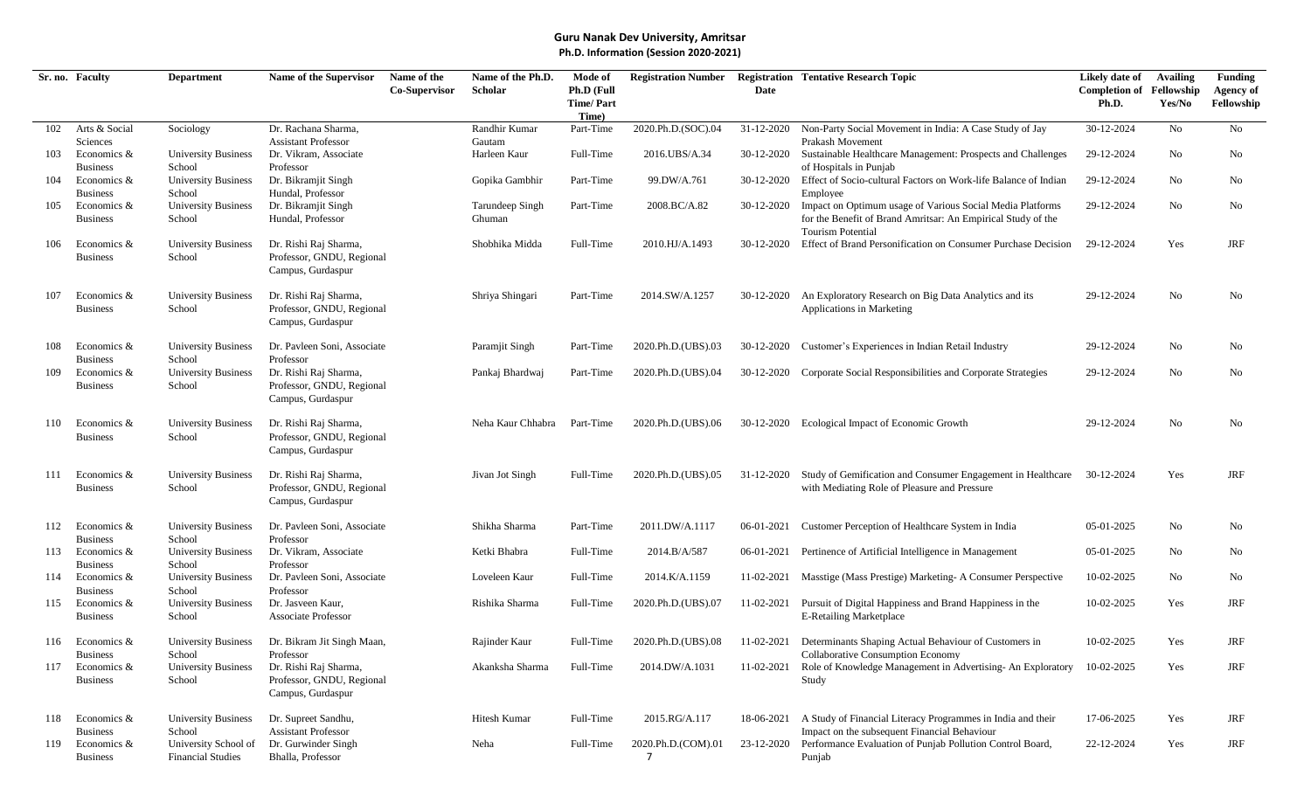|     | Sr. no. Faculty                                   | <b>Department</b>                                          | Name of the Supervisor                                                               | Name of the   | Name of the Ph.D.         | Mode of                                 | <b>Registration Number</b> |            | <b>Registration Tentative Research Topic</b>                                                                                                          | Likely date of                           | <b>Availing</b> | <b>Funding</b>                 |
|-----|---------------------------------------------------|------------------------------------------------------------|--------------------------------------------------------------------------------------|---------------|---------------------------|-----------------------------------------|----------------------------|------------|-------------------------------------------------------------------------------------------------------------------------------------------------------|------------------------------------------|-----------------|--------------------------------|
|     |                                                   |                                                            |                                                                                      | Co-Supervisor | Scholar                   | Ph.D (Full<br><b>Time/Part</b><br>Time) |                            | Date       |                                                                                                                                                       | <b>Completion of Fellowship</b><br>Ph.D. | Yes/No          | <b>Agency of</b><br>Fellowship |
| 102 | Arts & Social                                     | Sociology                                                  | Dr. Rachana Sharma,                                                                  |               | Randhir Kumar             | Part-Time                               | 2020.Ph.D.(SOC).04         | 31-12-2020 | Non-Party Social Movement in India: A Case Study of Jay                                                                                               | 30-12-2024                               | No              | No                             |
| 103 | Sciences<br>Economics &<br><b>Business</b>        | <b>University Business</b><br>School                       | <b>Assistant Professor</b><br>Dr. Vikram, Associate<br>Professor                     |               | Gautam<br>Harleen Kaur    | Full-Time                               | 2016.UBS/A.34              | 30-12-2020 | Prakash Movement<br>Sustainable Healthcare Management: Prospects and Challenges<br>of Hospitals in Punjab                                             | 29-12-2024                               | No              | No                             |
| 104 | Economics &<br><b>Business</b>                    | <b>University Business</b><br>School                       | Dr. Bikramjit Singh<br>Hundal, Professor                                             |               | Gopika Gambhir            | Part-Time                               | 99.DW/A.761                | 30-12-2020 | Effect of Socio-cultural Factors on Work-life Balance of Indian<br>Employee                                                                           | 29-12-2024                               | No              | No                             |
| 105 | Economics &<br><b>Business</b>                    | <b>University Business</b><br>School                       | Dr. Bikramjit Singh<br>Hundal, Professor                                             |               | Tarundeep Singh<br>Ghuman | Part-Time                               | 2008.BC/A.82               | 30-12-2020 | Impact on Optimum usage of Various Social Media Platforms<br>for the Benefit of Brand Amritsar: An Empirical Study of the<br><b>Tourism Potential</b> | 29-12-2024                               | No              | No                             |
| 106 | Economics &<br><b>Business</b>                    | <b>University Business</b><br>School                       | Dr. Rishi Raj Sharma,<br>Professor, GNDU, Regional<br>Campus, Gurdaspur              |               | Shobhika Midda            | Full-Time                               | 2010.HJ/A.1493             | 30-12-2020 | Effect of Brand Personification on Consumer Purchase Decision                                                                                         | 29-12-2024                               | Yes             | <b>JRF</b>                     |
| 107 | Economics &<br><b>Business</b>                    | <b>University Business</b><br>School                       | Dr. Rishi Raj Sharma,<br>Professor, GNDU, Regional<br>Campus, Gurdaspur              |               | Shriya Shingari           | Part-Time                               | 2014.SW/A.1257             | 30-12-2020 | An Exploratory Research on Big Data Analytics and its<br>Applications in Marketing                                                                    | 29-12-2024                               | No              | No                             |
| 108 | Economics &<br><b>Business</b>                    | <b>University Business</b><br>School                       | Dr. Pavleen Soni, Associate<br>Professor                                             |               | Paramjit Singh            | Part-Time                               | 2020.Ph.D.(UBS).03         | 30-12-2020 | Customer's Experiences in Indian Retail Industry                                                                                                      | 29-12-2024                               | No              | No                             |
| 109 | Economics &<br><b>Business</b>                    | <b>University Business</b><br>School                       | Dr. Rishi Raj Sharma,<br>Professor, GNDU, Regional<br>Campus, Gurdaspur              |               | Pankaj Bhardwaj           | Part-Time                               | 2020.Ph.D.(UBS).04         | 30-12-2020 | Corporate Social Responsibilities and Corporate Strategies                                                                                            | 29-12-2024                               | No              | No                             |
| 110 | Economics &<br><b>Business</b>                    | <b>University Business</b><br>School                       | Dr. Rishi Raj Sharma,<br>Professor, GNDU, Regional<br>Campus, Gurdaspur              |               | Neha Kaur Chhabra         | Part-Time                               | 2020.Ph.D.(UBS).06         | 30-12-2020 | Ecological Impact of Economic Growth                                                                                                                  | 29-12-2024                               | No              | No                             |
| 111 | Economics &<br><b>Business</b>                    | <b>University Business</b><br>School                       | Dr. Rishi Raj Sharma,<br>Professor, GNDU, Regional<br>Campus, Gurdaspur              |               | Jivan Jot Singh           | Full-Time                               | 2020.Ph.D.(UBS).05         | 31-12-2020 | Study of Gemification and Consumer Engagement in Healthcare<br>with Mediating Role of Pleasure and Pressure                                           | 30-12-2024                               | Yes             | <b>JRF</b>                     |
| 112 | Economics &<br><b>Business</b>                    | <b>University Business</b><br>School                       | Dr. Pavleen Soni, Associate<br>Professor                                             |               | Shikha Sharma             | Part-Time                               | 2011.DW/A.1117             | 06-01-2021 | Customer Perception of Healthcare System in India                                                                                                     | 05-01-2025                               | No              | No                             |
| 113 | Economics &<br><b>Business</b>                    | <b>University Business</b><br>School                       | Dr. Vikram, Associate<br>Professor                                                   |               | Ketki Bhabra              | Full-Time                               | 2014.B/A/587               | 06-01-2021 | Pertinence of Artificial Intelligence in Management                                                                                                   | 05-01-2025                               | No              | No                             |
| 114 | Economics &                                       | <b>University Business</b>                                 | Dr. Payleen Soni, Associate                                                          |               | Loveleen Kaur             | Full-Time                               | 2014.K/A.1159              | 11-02-2021 | Masstige (Mass Prestige) Marketing-A Consumer Perspective                                                                                             | 10-02-2025                               | No.             | No                             |
| 115 | <b>Business</b><br>Economics &<br><b>Business</b> | School<br><b>University Business</b><br>School             | Professor<br>Dr. Jasveen Kaur,<br><b>Associate Professor</b>                         |               | Rishika Sharma            | Full-Time                               | 2020.Ph.D.(UBS).07         | 11-02-2021 | Pursuit of Digital Happiness and Brand Happiness in the<br><b>E-Retailing Marketplace</b>                                                             | 10-02-2025                               | Yes             | <b>JRF</b>                     |
| 116 | Economics &                                       | <b>University Business</b>                                 | Dr. Bikram Jit Singh Maan,                                                           |               | Rajinder Kaur             | Full-Time                               | 2020.Ph.D.(UBS).08         |            | 11-02-2021 Determinants Shaping Actual Behaviour of Customers in                                                                                      | 10-02-2025                               | Yes             | JRF                            |
| 117 | <b>Business</b><br>Economics &<br><b>Business</b> | School<br><b>University Business</b><br>School             | Professor<br>Dr. Rishi Raj Sharma,<br>Professor, GNDU, Regional<br>Campus, Gurdaspur |               | Akanksha Sharma           | Full-Time                               | 2014.DW/A.1031             | 11-02-2021 | Collaborative Consumption Economy<br>Role of Knowledge Management in Advertising-An Exploratory<br>Study                                              | 10-02-2025                               | Yes             | JRF                            |
| 118 | Economics &                                       | <b>University Business</b>                                 | Dr. Supreet Sandhu,                                                                  |               | Hitesh Kumar              | Full-Time                               | 2015.RG/A.117              | 18-06-2021 | A Study of Financial Literacy Programmes in India and their                                                                                           | 17-06-2025                               | Yes             | JRF                            |
| 119 | <b>Business</b><br>Economics &<br><b>Business</b> | School<br>University School of<br><b>Financial Studies</b> | <b>Assistant Professor</b><br>Dr. Gurwinder Singh<br>Bhalla, Professor               |               | Neha                      | Full-Time                               | 2020.Ph.D.(COM).01<br>7    | 23-12-2020 | Impact on the subsequent Financial Behaviour<br>Performance Evaluation of Punjab Pollution Control Board,<br>Punjab                                   | 22-12-2024                               | Yes             | JRF                            |